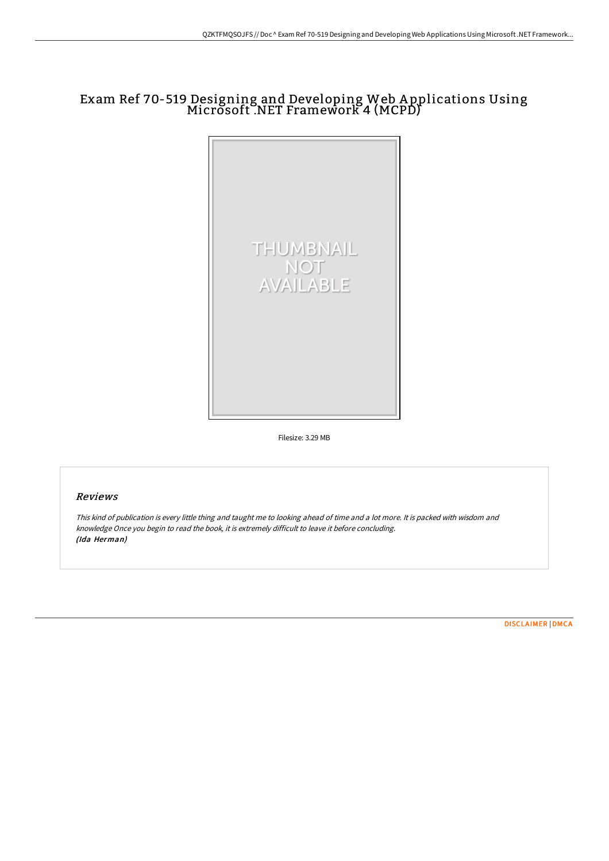## Exam Ref 70-519 Designing and Developing Web <sup>A</sup> pplications Using Microsoft .NET Framework <sup>4</sup> (MCPD)



Filesize: 3.29 MB

## Reviews

This kind of publication is every little thing and taught me to looking ahead of time and <sup>a</sup> lot more. It is packed with wisdom and knowledge Once you begin to read the book, it is extremely difficult to leave it before concluding. (Ida Herman)

[DISCLAIMER](http://techno-pub.tech/disclaimer.html) | [DMCA](http://techno-pub.tech/dmca.html)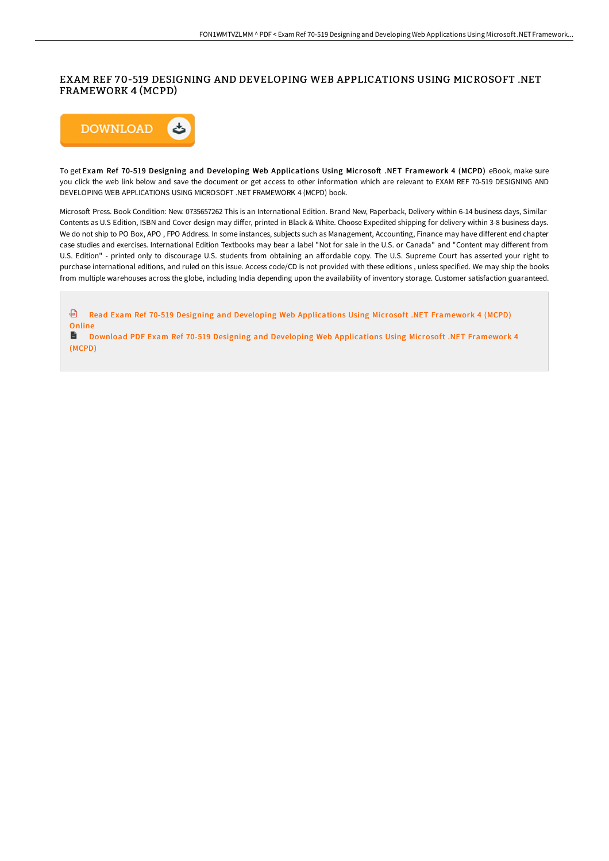## EXAM REF 70-519 DESIGNING AND DEVELOPING WEB APPLICATIONS USING MICROSOFT .NET FRAMEWORK 4 (MCPD)



(MCPD)

To get Exam Ref 70-519 Designing and Developing Web Applications Using Microsoft .NET Framework 4 (MCPD) eBook, make sure you click the web link below and save the document or get access to other information which are relevant to EXAM REF 70-519 DESIGNING AND DEVELOPING WEB APPLICATIONS USING MICROSOFT .NET FRAMEWORK 4 (MCPD) book.

Microsoft Press. Book Condition: New. 0735657262 This is an International Edition. Brand New, Paperback, Delivery within 6-14 business days, Similar Contents as U.S Edition, ISBN and Cover design may differ, printed in Black & White. Choose Expedited shipping for delivery within 3-8 business days. We do not ship to PO Box, APO , FPO Address. In some instances, subjects such as Management, Accounting, Finance may have different end chapter case studies and exercises. International Edition Textbooks may bear a label "Not for sale in the U.S. or Canada" and "Content may different from U.S. Edition" - printed only to discourage U.S. students from obtaining an affordable copy. The U.S. Supreme Court has asserted your right to purchase international editions, and ruled on this issue. Access code/CD is not provided with these editions , unless specified. We may ship the books from multiple warehouses across the globe, including India depending upon the availability of inventory storage. Customer satisfaction guaranteed.

Read Exam Ref 70-519 Designing and Developing Web [Applications](http://techno-pub.tech/exam-ref-70-519-designing-and-developing-web-app.html) Using Microsoft .NET Framework 4 (MCPD) **Online** Download PDF Exam Ref 70-519 Designing and Developing Web [Applications](http://techno-pub.tech/exam-ref-70-519-designing-and-developing-web-app.html) Using Microsoft .NET Framework 4